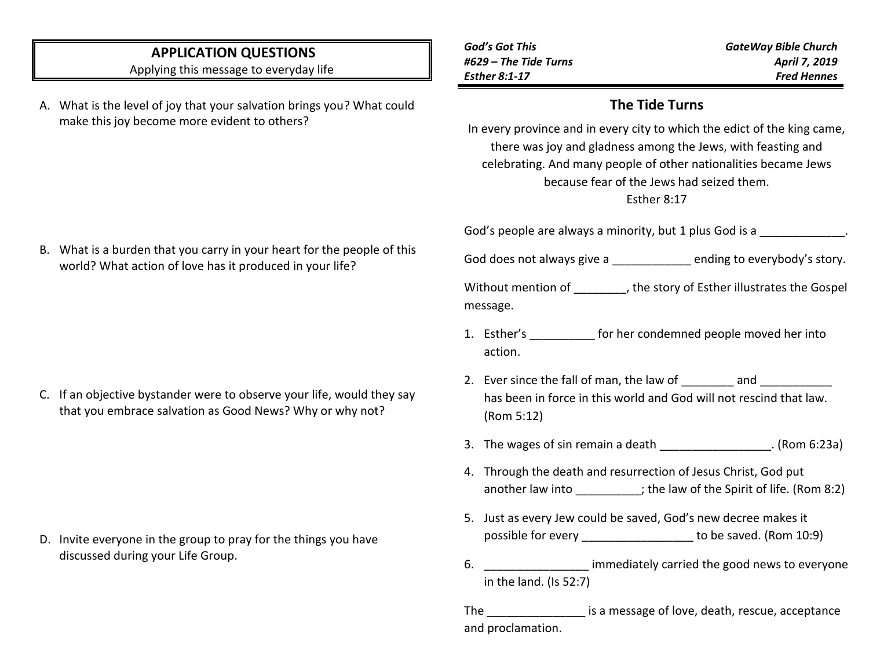## **APPLICATION QUESTIONS**

Applying this message to everyday life

- A. What is the level of joy that your salvation brings you? What could make this joy become more evident to others?
- *God's Got This #629 – The Tide Turns Esther 8:1-17 GateWay Bible Church April 7, 2019 Fred Hennes*

#### **The Tide Turns**

In every province and in every city to which the edict of the king came, there was joy and gladness among the Jews, with feasting and celebrating. And many people of other nationalities became Jews because fear of the Jews had seized them.

#### Esther 8:17

God's people are always a minority, but 1 plus God is a  $\blacksquare$ 

God does not always give a \_\_\_\_\_\_\_\_\_\_\_\_\_ ending to everybody's story.

Without mention of  $\qquad \qquad$ , the story of Esther illustrates the Gospel message.

- 1. Esther's for her condemned people moved her into action.
- 2. Ever since the fall of man, the law of and zero and zero and zero and zero and  $\sim$ has been in force in this world and God will not rescind that law. (Rom 5:12)
- 3. The wages of sin remain a death (Rom 6:23a)
- 4. Through the death and resurrection of Jesus Christ, God put another law into \_\_\_\_\_\_\_\_; the law of the Spirit of life. (Rom 8:2)
- 5. Just as every Jew could be saved, God's new decree makes it possible for every example to be saved. (Rom 10:9)
- 6. **Example 10** immediately carried the good news to everyone in the land. (Is 52:7)

The The is a message of love, death, rescue, acceptance and proclamation.

B. What is a burden that you carry in your heart for the people of this world? What action of love has it produced in your life?

C. If an objective bystander were to observe your life, would they say that you embrace salvation as Good News? Why or why not?

D. Invite everyone in the group to pray for the things you have discussed during your Life Group.